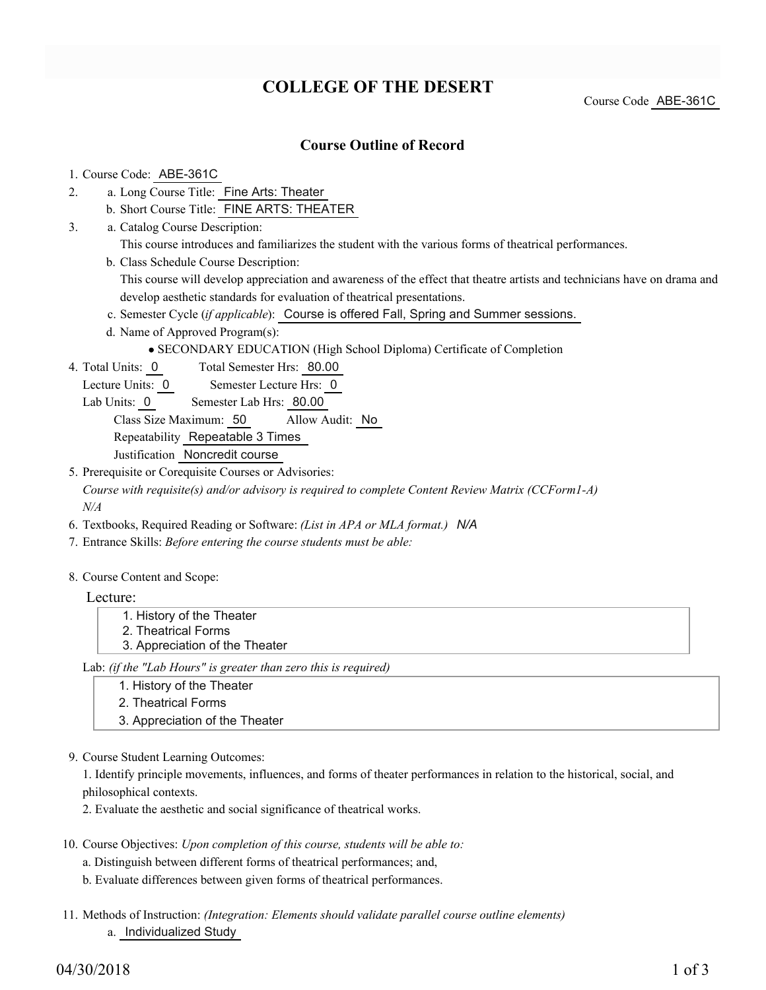# **COLLEGE OF THE DESERT**

Course Code ABE-361C

### **Course Outline of Record**

#### 1. Course Code: ABE-361C

- a. Long Course Title: Fine Arts: Theater 2.
	- b. Short Course Title: FINE ARTS: THEATER
- Catalog Course Description: a. 3.
	- This course introduces and familiarizes the student with the various forms of theatrical performances.
	- b. Class Schedule Course Description:

This course will develop appreciation and awareness of the effect that theatre artists and technicians have on drama and develop aesthetic standards for evaluation of theatrical presentations.

- c. Semester Cycle (*if applicable*): Course is offered Fall, Spring and Summer sessions.
- d. Name of Approved Program(s):
	- SECONDARY EDUCATION (High School Diploma) Certificate of Completion
- Total Semester Hrs: 80.00 4. Total Units: 0
	- Lecture Units: 0 Semester Lecture Hrs: 0

Lab Units: 0 Semester Lab Hrs: 80.00

Class Size Maximum: 50 Allow Audit: No

Repeatability Repeatable 3 Times

Justification Noncredit course

5. Prerequisite or Corequisite Courses or Advisories:

*Course with requisite(s) and/or advisory is required to complete Content Review Matrix (CCForm1-A) N/A*

- 6. Textbooks, Required Reading or Software: *(List in APA or MLA format.) N/A*
- 7. Entrance Skills: *Before entering the course students must be able:*
- 8. Course Content and Scope:

#### Lecture:

1. History of the Theater 2. Theatrical Forms 3. Appreciation of the Theater

Lab: *(if the "Lab Hours" is greater than zero this is required)*

1. History of the Theater

- 2. Theatrical Forms
- 3. Appreciation of the Theater
- 9. Course Student Learning Outcomes:

1. Identify principle movements, influences, and forms of theater performances in relation to the historical, social, and philosophical contexts.

2. Evaluate the aesthetic and social significance of theatrical works.

- 10. Course Objectives: Upon completion of this course, students will be able to:
	- a. Distinguish between different forms of theatrical performances; and,

b. Evaluate differences between given forms of theatrical performances.

Methods of Instruction: *(Integration: Elements should validate parallel course outline elements)* 11. a. Individualized Study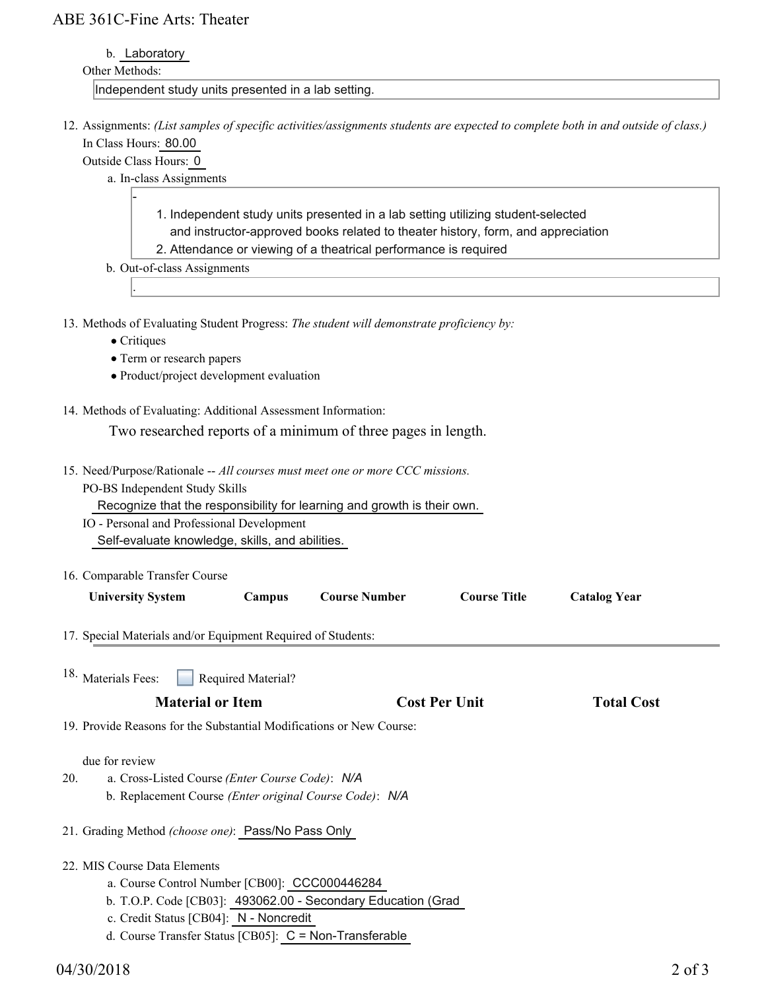## ABE 361C-Fine Arts: Theater

b. Laboratory

### Other Methods:

Independent study units presented in a lab setting.

12. Assignments: (List samples of specific activities/assignments students are expected to complete both in and outside of class.) In Class Hours: 80.00

Outside Class Hours: 0

-

- a. In-class Assignments
	- 1. Independent study units presented in a lab setting utilizing student-selected and instructor-approved books related to theater history, form, and appreciation
	- 2. Attendance or viewing of a theatrical performance is required
- b. Out-of-class Assignments
- 13. Methods of Evaluating Student Progress: The student will demonstrate proficiency by:
	- Critiques

.

- Term or research papers
- Product/project development evaluation
- 14. Methods of Evaluating: Additional Assessment Information:

Two researched reports of a minimum of three pages in length.

- 15. Need/Purpose/Rationale -- All courses must meet one or more CCC missions. PO-BS Independent Study Skills
	- Recognize that the responsibility for learning and growth is their own.
	- IO Personal and Professional Development Self-evaluate knowledge, skills, and abilities.
- 16. Comparable Transfer Course

| <b>University System</b>                                             | <b>Campus</b>                    | <b>Course Number</b> | <b>Course Title</b>  | <b>Catalog Year</b> |  |
|----------------------------------------------------------------------|----------------------------------|----------------------|----------------------|---------------------|--|
| 17. Special Materials and/or Equipment Required of Students:         |                                  |                      |                      |                     |  |
| 18. Materials Fees:                                                  | Required Material?               |                      |                      |                     |  |
| <b>Material or Item</b>                                              |                                  |                      | <b>Cost Per Unit</b> | <b>Total Cost</b>   |  |
| 19. Provide Reasons for the Substantial Modifications or New Course: |                                  |                      |                      |                     |  |
| due for review                                                       |                                  |                      |                      |                     |  |
| 20.<br>a. Cross-Listed Course (Enter Course Code): N/A               |                                  |                      |                      |                     |  |
| b. Replacement Course (Enter original Course Code): N/A              |                                  |                      |                      |                     |  |
| 21. Grading Method (choose one): Pass/No Pass Only                   |                                  |                      |                      |                     |  |
| 22. MIS Course Data Elements                                         |                                  |                      |                      |                     |  |
|                                                                      | $\alpha$ is a repeat cooperation |                      |                      |                     |  |

- a. Course Control Number [CB00]: CCC000446284
- b. T.O.P. Code [CB03]: 493062.00 Secondary Education (Grad
- c. Credit Status [CB04]: N Noncredit
- d. Course Transfer Status [CB05]: C = Non-Transferable